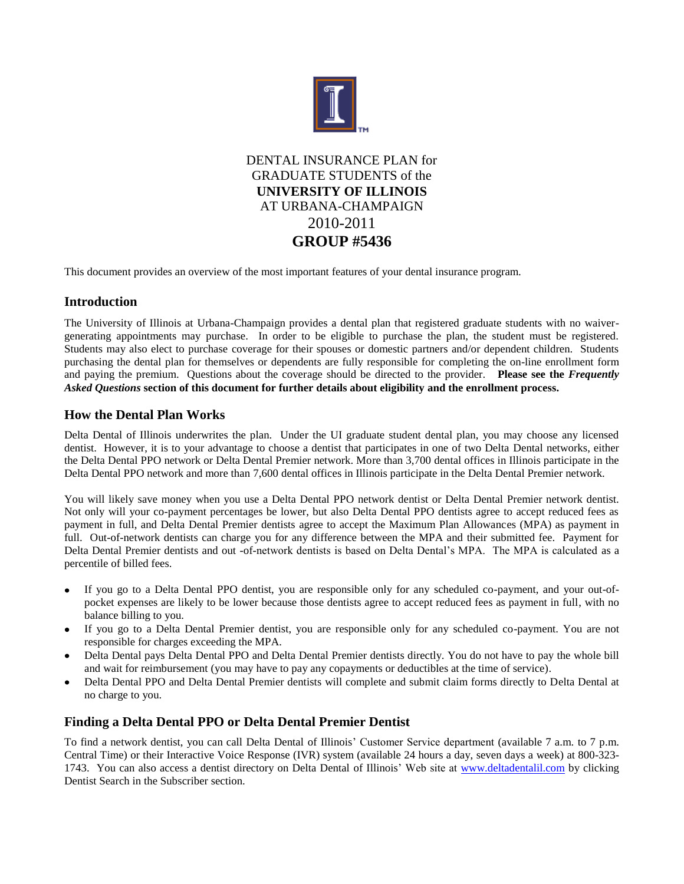

DENTAL INSURANCE PLAN for GRADUATE STUDENTS of the **UNIVERSITY OF ILLINOIS** AT URBANA-CHAMPAIGN 2010-2011 **GROUP #5436**

This document provides an overview of the most important features of your dental insurance program.

# **Introduction**

The University of Illinois at Urbana-Champaign provides a dental plan that registered graduate students with no waivergenerating appointments may purchase. In order to be eligible to purchase the plan, the student must be registered. Students may also elect to purchase coverage for their spouses or domestic partners and/or dependent children. Students purchasing the dental plan for themselves or dependents are fully responsible for completing the on-line enrollment form and paying the premium. Questions about the coverage should be directed to the provider. **Please see the** *Frequently Asked Questions* **section of this document for further details about eligibility and the enrollment process.**

# **How the Dental Plan Works**

Delta Dental of Illinois underwrites the plan. Under the UI graduate student dental plan, you may choose any licensed dentist. However, it is to your advantage to choose a dentist that participates in one of two Delta Dental networks, either the Delta Dental PPO network or Delta Dental Premier network. More than 3,700 dental offices in Illinois participate in the Delta Dental PPO network and more than 7,600 dental offices in Illinois participate in the Delta Dental Premier network.

You will likely save money when you use a Delta Dental PPO network dentist or Delta Dental Premier network dentist. Not only will your co-payment percentages be lower, but also Delta Dental PPO dentists agree to accept reduced fees as payment in full, and Delta Dental Premier dentists agree to accept the Maximum Plan Allowances (MPA) as payment in full. Out-of-network dentists can charge you for any difference between the MPA and their submitted fee. Payment for Delta Dental Premier dentists and out -of-network dentists is based on Delta Dental's MPA. The MPA is calculated as a percentile of billed fees.

- If you go to a Delta Dental PPO dentist, you are responsible only for any scheduled co-payment, and your out-of- $\bullet$ pocket expenses are likely to be lower because those dentists agree to accept reduced fees as payment in full, with no balance billing to you.
- If you go to a Delta Dental Premier dentist, you are responsible only for any scheduled co-payment. You are not responsible for charges exceeding the MPA.
- Delta Dental pays Delta Dental PPO and Delta Dental Premier dentists directly. You do not have to pay the whole bill and wait for reimbursement (you may have to pay any copayments or deductibles at the time of service).
- Delta Dental PPO and Delta Dental Premier dentists will complete and submit claim forms directly to Delta Dental at no charge to you.

# **Finding a Delta Dental PPO or Delta Dental Premier Dentist**

To find a network dentist, you can call Delta Dental of Illinois' Customer Service department (available 7 a.m. to 7 p.m. Central Time) or their Interactive Voice Response (IVR) system (available 24 hours a day, seven days a week) at 800-323 1743. You can also access a dentist directory on Delta Dental of Illinois' Web site at [www.deltadentalil.com](http://www.deltadentalil.com/) by clicking Dentist Search in the Subscriber section.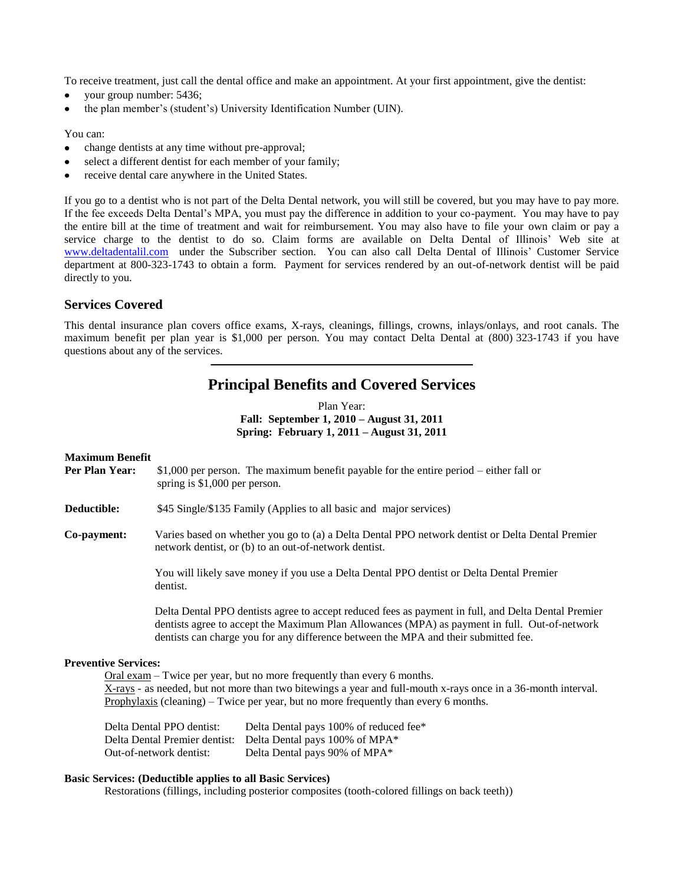To receive treatment, just call the dental office and make an appointment. At your first appointment, give the dentist:

- your group number: 5436;
- the plan member's (student's) University Identification Number (UIN).

# You can:

- change dentists at any time without pre-approval;  $\bullet$
- select a different dentist for each member of your family;
- receive dental care anywhere in the United States.

If you go to a dentist who is not part of the Delta Dental network, you will still be covered, but you may have to pay more. If the fee exceeds Delta Dental's MPA, you must pay the difference in addition to your co-payment. You may have to pay the entire bill at the time of treatment and wait for reimbursement. You may also have to file your own claim or pay a service charge to the dentist to do so. Claim forms are available on Delta Dental of Illinois' Web site at [www.deltadentalil.com](http://www.deltadentalil.com/) under the Subscriber section. You can also call Delta Dental of Illinois' Customer Service department at 800-323-1743 to obtain a form. Payment for services rendered by an out-of-network dentist will be paid directly to you.

# **Services Covered**

This dental insurance plan covers office exams, X-rays, cleanings, fillings, crowns, inlays/onlays, and root canals. The maximum benefit per plan year is \$1,000 per person. You may contact Delta Dental at (800) 323-1743 if you have questions about any of the services.

# **Principal Benefits and Covered Services**

Plan Year: **Fall: September 1, 2010 – August 31, 2011 Spring: February 1, 2011 – August 31, 2011**

# **Maximum Benefit**

- **Per Plan Year:** \$1,000 per person. The maximum benefit payable for the entire period either fall or spring is \$1,000 per person.
- **Deductible:** \$45 Single/\$135 Family (Applies to all basic and major services)
- **Co-payment:** Varies based on whether you go to (a) a Delta Dental PPO network dentist or Delta Dental Premier network dentist, or (b) to an out-of-network dentist.

You will likely save money if you use a Delta Dental PPO dentist or Delta Dental Premier dentist.

Delta Dental PPO dentists agree to accept reduced fees as payment in full, and Delta Dental Premier dentists agree to accept the Maximum Plan Allowances (MPA) as payment in full. Out-of-network dentists can charge you for any difference between the MPA and their submitted fee.

# **Preventive Services:**

Oral exam – Twice per year, but no more frequently than every 6 months. X-rays - as needed, but not more than two bitewings a year and full-mouth x-rays once in a 36-month interval. Prophylaxis (cleaning) – Twice per year, but no more frequently than every 6 months.

Delta Dental PPO dentist: Delta Dental pays 100% of reduced fee\* Delta Dental Premier dentist: Delta Dental pays 100% of MPA\* Out-of-network dentist: Delta Dental pays 90% of MPA\*

# **Basic Services: (Deductible applies to all Basic Services)**

Restorations (fillings, including posterior composites (tooth-colored fillings on back teeth))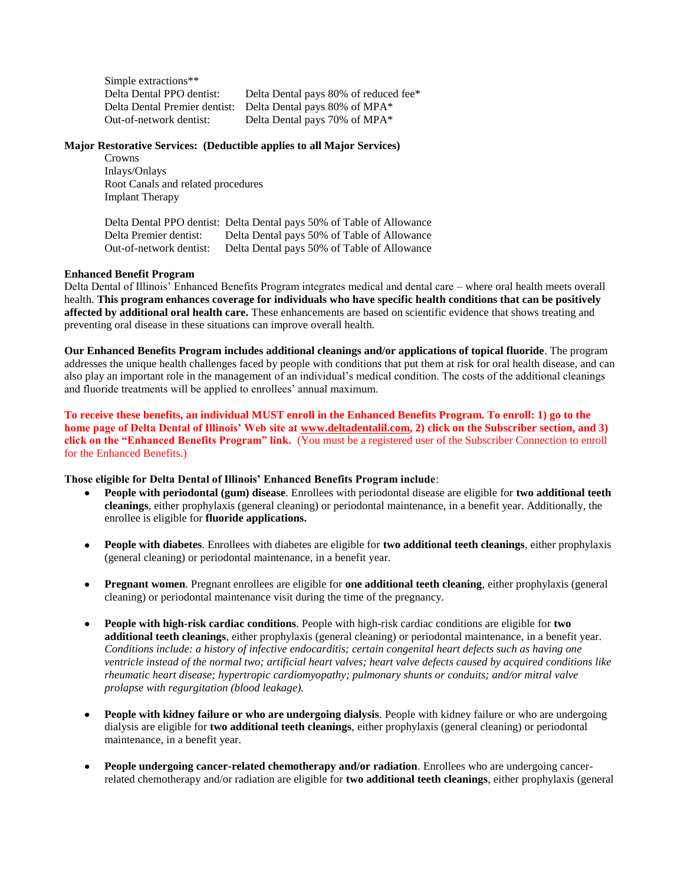| Simple extractions**          |                                       |
|-------------------------------|---------------------------------------|
| Delta Dental PPO dentist:     | Delta Dental pays 80% of reduced fee* |
| Delta Dental Premier dentist: | Delta Dental pays 80% of MPA*         |
| Out-of-network dentist:       | Delta Dental pays 70% of MPA*         |

# **Major Restorative Services: (Deductible applies to all Major Services)**

Crowns Inlays/Onlays Root Canals and related procedures Implant Therapy

Delta Dental PPO dentist: Delta Dental pays 50% of Table of Allowance Delta Premier dentist: Delta Dental pays 50% of Table of Allowance Out-of-network dentist: Delta Dental pays 50% of Table of Allowance

### **Enhanced Benefit Program**

Delta Dental of Illinois' Enhanced Benefits Program integrates medical and dental care – where oral health meets overall health. **This program enhances coverage for individuals who have specific health conditions that can be positively affected by additional oral health care.** These enhancements are based on scientific evidence that shows treating and preventing oral disease in these situations can improve overall health.

**Our Enhanced Benefits Program includes additional cleanings and/or applications of topical fluoride**. The program addresses the unique health challenges faced by people with conditions that put them at risk for oral health disease, and can also play an important role in the management of an individual's medical condition. The costs of the additional cleanings and fluoride treatments will be applied to enrollees' annual maximum.

**To receive these benefits, an individual MUST enroll in the Enhanced Benefits Program. To enroll: 1) go to the home page of Delta Dental of Illinois' Web site at [www.deltadentalil.com,](http://www.deltadentalil.com/) 2) click on the Subscriber section, and 3) click on the "Enhanced Benefits Program" link.** (You must be a registered user of the Subscriber Connection to enroll for the Enhanced Benefits.)

# **Those eligible for Delta Dental of Illinois' Enhanced Benefits Program include**:

- **People with periodontal (gum) disease**. Enrollees with periodontal disease are eligible for **two additional teeth cleanings**, either prophylaxis (general cleaning) or periodontal maintenance, in a benefit year. Additionally, the enrollee is eligible for **fluoride applications.**
- **People with diabetes**. Enrollees with diabetes are eligible for **two additional teeth cleanings**, either prophylaxis  $\bullet$ (general cleaning) or periodontal maintenance, in a benefit year.
- **Pregnant women**. Pregnant enrollees are eligible for **one additional teeth cleaning**, either prophylaxis (general cleaning) or periodontal maintenance visit during the time of the pregnancy.
- $\bullet$ **People with high-risk cardiac conditions**. People with high-risk cardiac conditions are eligible for **two additional teeth cleanings**, either prophylaxis (general cleaning) or periodontal maintenance, in a benefit year. *Conditions include: a history of infective endocarditis; certain congenital heart defects such as having one ventricle instead of the normal two; artificial heart valves; heart valve defects caused by acquired conditions like rheumatic heart disease; hypertropic cardiomyopathy; pulmonary shunts or conduits; and/or mitral valve prolapse with regurgitation (blood leakage).*
- **People with kidney failure or who are undergoing dialysis**. People with kidney failure or who are undergoing  $\bullet$ dialysis are eligible for **two additional teeth cleanings**, either prophylaxis (general cleaning) or periodontal maintenance, in a benefit year.
- $\bullet$ **People undergoing cancer-related chemotherapy and/or radiation**. Enrollees who are undergoing cancerrelated chemotherapy and/or radiation are eligible for **two additional teeth cleanings**, either prophylaxis (general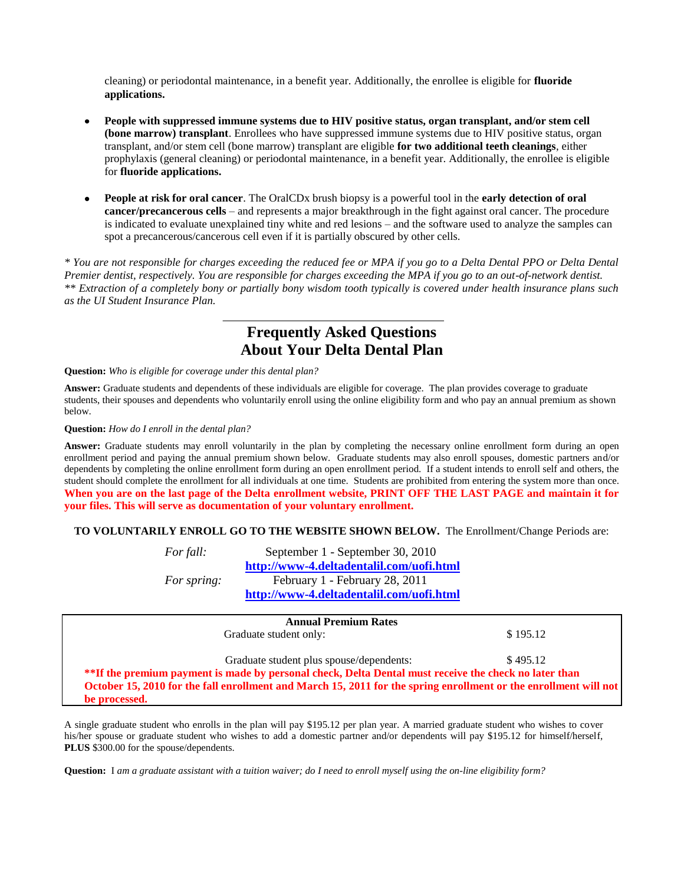cleaning) or periodontal maintenance, in a benefit year. Additionally, the enrollee is eligible for **fluoride applications.**

- **People with suppressed immune systems due to HIV positive status, organ transplant, and/or stem cell (bone marrow) transplant**. Enrollees who have suppressed immune systems due to HIV positive status, organ transplant, and/or stem cell (bone marrow) transplant are eligible **for two additional teeth cleanings**, either prophylaxis (general cleaning) or periodontal maintenance, in a benefit year. Additionally, the enrollee is eligible for **fluoride applications.**
- **People at risk for oral cancer**. The OralCDx brush biopsy is a powerful tool in the **early detection of oral cancer/precancerous cells** – and represents a major breakthrough in the fight against oral cancer. The procedure is indicated to evaluate unexplained tiny white and red lesions – and the software used to analyze the samples can spot a precancerous/cancerous cell even if it is partially obscured by other cells.

*\* You are not responsible for charges exceeding the reduced fee or MPA if you go to a Delta Dental PPO or Delta Dental Premier dentist, respectively. You are responsible for charges exceeding the MPA if you go to an out-of-network dentist. \*\* Extraction of a completely bony or partially bony wisdom tooth typically is covered under health insurance plans such as the UI Student Insurance Plan.*

# **Frequently Asked Questions About Your Delta Dental Plan**

### **Question:** *Who is eligible for coverage under this dental plan?*

**Answer:** Graduate students and dependents of these individuals are eligible for coverage. The plan provides coverage to graduate students, their spouses and dependents who voluntarily enroll using the online eligibility form and who pay an annual premium as shown below.

### **Question:** *How do I enroll in the dental plan?*

**Answer:** Graduate students may enroll voluntarily in the plan by completing the necessary online enrollment form during an open enrollment period and paying the annual premium shown below. Graduate students may also enroll spouses, domestic partners and/or dependents by completing the online enrollment form during an open enrollment period. If a student intends to enroll self and others, the student should complete the enrollment for all individuals at one time. Students are prohibited from entering the system more than once. **When you are on the last page of the Delta enrollment website, PRINT OFF THE LAST PAGE and maintain it for your files. This will serve as documentation of your voluntary enrollment.**

# **TO VOLUNTARILY ENROLL GO TO THE WEBSITE SHOWN BELOW.** The Enrollment/Change Periods are:

*For fall:* September 1 - September 30, 2010 **<http://www-4.deltadentalil.com/uofi.html>** *For spring:* February 1 - February 28, 2011 **<http://www-4.deltadentalil.com/uofi.html>**

| <b>Annual Premium Rates</b>                                                                                      |          |  |
|------------------------------------------------------------------------------------------------------------------|----------|--|
| Graduate student only:                                                                                           | \$195.12 |  |
| Graduate student plus spouse/dependents:                                                                         | \$495.12 |  |
| <b>**If the premium payment is made by personal check, Delta Dental must receive the check no later than</b>     |          |  |
| October 15, 2010 for the fall enrollment and March 15, 2011 for the spring enrollment or the enrollment will not |          |  |
| be processed.                                                                                                    |          |  |

A single graduate student who enrolls in the plan will pay \$195.12 per plan year. A married graduate student who wishes to cover his/her spouse or graduate student who wishes to add a domestic partner and/or dependents will pay \$195.12 for himself/herself, **PLUS** \$300.00 for the spouse/dependents.

**Question:** I *am a graduate assistant with a tuition waiver; do I need to enroll myself using the on-line eligibility form?*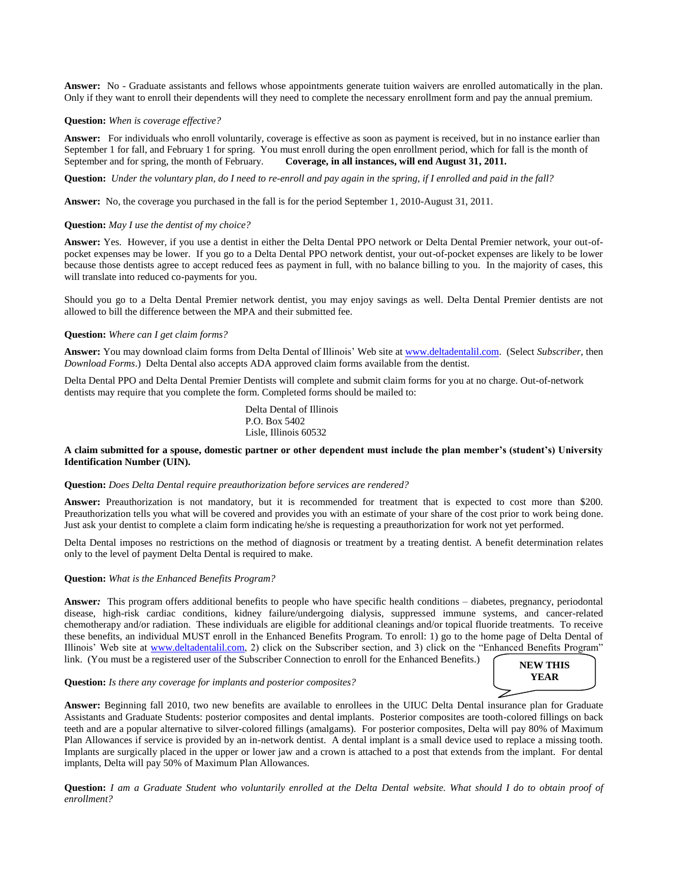**Answer:** No - Graduate assistants and fellows whose appointments generate tuition waivers are enrolled automatically in the plan. Only if they want to enroll their dependents will they need to complete the necessary enrollment form and pay the annual premium.

### **Question:** *When is coverage effective?*

**Answer:** For individuals who enroll voluntarily, coverage is effective as soon as payment is received, but in no instance earlier than September 1 for fall, and February 1 for spring. You must enroll during the open enrollment period, which for fall is the month of September and for spring, the month of February. **Coverage, in all instances, will end August 31, 2011.**

**Question:** *Under the voluntary plan, do I need to re-enroll and pay again in the spring, if I enrolled and paid in the fall?*

**Answer:** No, the coverage you purchased in the fall is for the period September 1, 2010-August 31, 2011.

### **Question:** *May I use the dentist of my choice?*

**Answer:** Yes. However, if you use a dentist in either the Delta Dental PPO network or Delta Dental Premier network, your out-ofpocket expenses may be lower. If you go to a Delta Dental PPO network dentist, your out-of-pocket expenses are likely to be lower because those dentists agree to accept reduced fees as payment in full, with no balance billing to you. In the majority of cases, this will translate into reduced co-payments for you.

Should you go to a Delta Dental Premier network dentist, you may enjoy savings as well. Delta Dental Premier dentists are not allowed to bill the difference between the MPA and their submitted fee.

#### **Question:** *Where can I get claim forms?*

**Answer:** You may download claim forms from Delta Dental of Illinois' Web site at [www.deltadentalil.com.](http://www.deltadentalil.com/) (Select *Subscriber,* then *Download Forms*.) Delta Dental also accepts ADA approved claim forms available from the dentist.

Delta Dental PPO and Delta Dental Premier Dentists will complete and submit claim forms for you at no charge. Out-of-network dentists may require that you complete the form. Completed forms should be mailed to:

> Delta Dental of Illinois P.O. Box 5402 Lisle, Illinois 60532

### **A claim submitted for a spouse, domestic partner or other dependent must include the plan member's (student's) University Identification Number (UIN).**

#### **Question:** *Does Delta Dental require preauthorization before services are rendered?*

**Answer:** Preauthorization is not mandatory, but it is recommended for treatment that is expected to cost more than \$200. Preauthorization tells you what will be covered and provides you with an estimate of your share of the cost prior to work being done. Just ask your dentist to complete a claim form indicating he/she is requesting a preauthorization for work not yet performed.

Delta Dental imposes no restrictions on the method of diagnosis or treatment by a treating dentist. A benefit determination relates only to the level of payment Delta Dental is required to make.

### **Question:** *What is the Enhanced Benefits Program?*

**Answer***:* This program offers additional benefits to people who have specific health conditions – diabetes, pregnancy, periodontal disease, high-risk cardiac conditions, kidney failure/undergoing dialysis, suppressed immune systems, and cancer-related chemotherapy and/or radiation. These individuals are eligible for additional cleanings and/or topical fluoride treatments. To receive these benefits, an individual MUST enroll in the Enhanced Benefits Program. To enroll: 1) go to the home page of Delta Dental of Illinois' Web site at [www.deltadentalil.com,](http://www.deltadentalil.com/) 2) click on the Subscriber section, and 3) click on the "Enhanced Benefits Program" link. (You must be a registered user of the Subscriber Connection to enroll for the Enhanced Benefits.)

**Question:** *Is there any coverage for implants and posterior composites?*

**Answer:** Beginning fall 2010, two new benefits are available to enrollees in the UIUC Delta Dental insurance plan for Graduate Assistants and Graduate Students: posterior composites and dental implants. Posterior composites are tooth-colored fillings on back teeth and are a popular alternative to silver-colored fillings (amalgams). For posterior composites, Delta will pay 80% of Maximum Plan Allowances if service is provided by an in-network dentist. A dental implant is a small device used to replace a missing tooth. Implants are surgically placed in the upper or lower jaw and a crown is attached to a post that extends from the implant. For dental implants, Delta will pay 50% of Maximum Plan Allowances.

**Question:** *I am a Graduate Student who voluntarily enrolled at the Delta Dental website. What should I do to obtain proof of enrollment?*